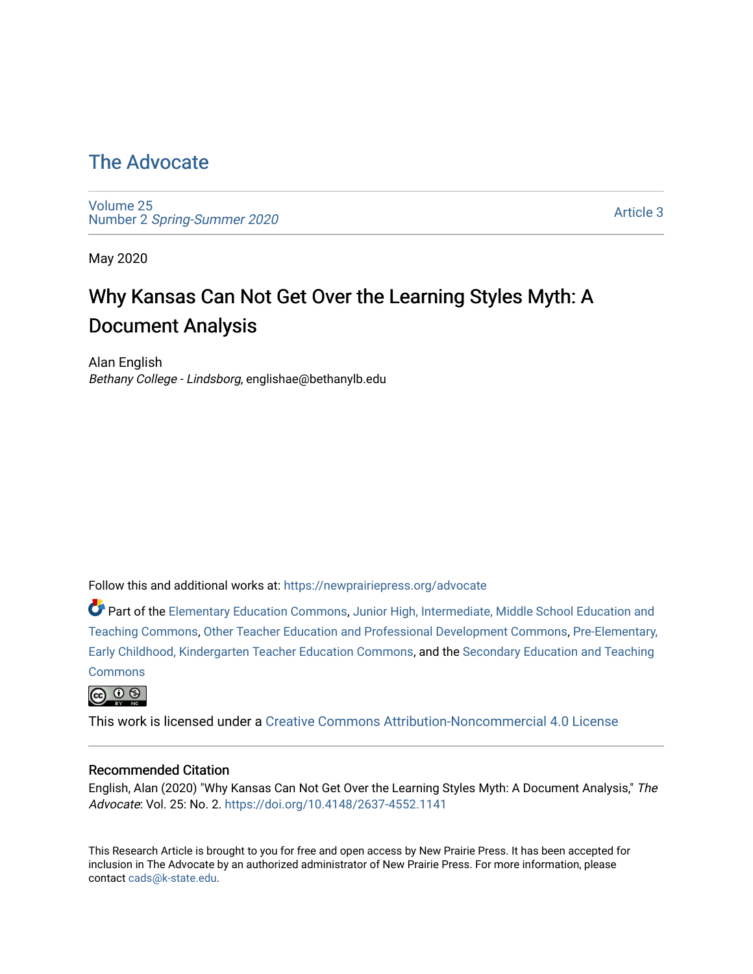# [The Advocate](https://newprairiepress.org/advocate)

[Volume 25](https://newprairiepress.org/advocate/vol25) Number 2 [Spring-Summer 2020](https://newprairiepress.org/advocate/vol25/iss2)

[Article 3](https://newprairiepress.org/advocate/vol25/iss2/3) 

May 2020

# Why Kansas Can Not Get Over the Learning Styles Myth: A Document Analysis

Alan English Bethany College - Lindsborg, englishae@bethanylb.edu

Follow this and additional works at: [https://newprairiepress.org/advocate](https://newprairiepress.org/advocate?utm_source=newprairiepress.org%2Fadvocate%2Fvol25%2Fiss2%2F3&utm_medium=PDF&utm_campaign=PDFCoverPages) 

Part of the [Elementary Education Commons,](http://network.bepress.com/hgg/discipline/1378?utm_source=newprairiepress.org%2Fadvocate%2Fvol25%2Fiss2%2F3&utm_medium=PDF&utm_campaign=PDFCoverPages) [Junior High, Intermediate, Middle School Education and](http://network.bepress.com/hgg/discipline/807?utm_source=newprairiepress.org%2Fadvocate%2Fvol25%2Fiss2%2F3&utm_medium=PDF&utm_campaign=PDFCoverPages) [Teaching Commons](http://network.bepress.com/hgg/discipline/807?utm_source=newprairiepress.org%2Fadvocate%2Fvol25%2Fiss2%2F3&utm_medium=PDF&utm_campaign=PDFCoverPages), [Other Teacher Education and Professional Development Commons,](http://network.bepress.com/hgg/discipline/810?utm_source=newprairiepress.org%2Fadvocate%2Fvol25%2Fiss2%2F3&utm_medium=PDF&utm_campaign=PDFCoverPages) [Pre-Elementary,](http://network.bepress.com/hgg/discipline/808?utm_source=newprairiepress.org%2Fadvocate%2Fvol25%2Fiss2%2F3&utm_medium=PDF&utm_campaign=PDFCoverPages) [Early Childhood, Kindergarten Teacher Education Commons](http://network.bepress.com/hgg/discipline/808?utm_source=newprairiepress.org%2Fadvocate%2Fvol25%2Fiss2%2F3&utm_medium=PDF&utm_campaign=PDFCoverPages), and the [Secondary Education and Teaching](http://network.bepress.com/hgg/discipline/809?utm_source=newprairiepress.org%2Fadvocate%2Fvol25%2Fiss2%2F3&utm_medium=PDF&utm_campaign=PDFCoverPages) **[Commons](http://network.bepress.com/hgg/discipline/809?utm_source=newprairiepress.org%2Fadvocate%2Fvol25%2Fiss2%2F3&utm_medium=PDF&utm_campaign=PDFCoverPages)** 

@ 0 ®

This work is licensed under a [Creative Commons Attribution-Noncommercial 4.0 License](https://creativecommons.org/licenses/by-nc/4.0/)

#### Recommended Citation

English, Alan (2020) "Why Kansas Can Not Get Over the Learning Styles Myth: A Document Analysis," The Advocate: Vol. 25: No. 2. <https://doi.org/10.4148/2637-4552.1141>

This Research Article is brought to you for free and open access by New Prairie Press. It has been accepted for inclusion in The Advocate by an authorized administrator of New Prairie Press. For more information, please contact [cads@k-state.edu](mailto:cads@k-state.edu).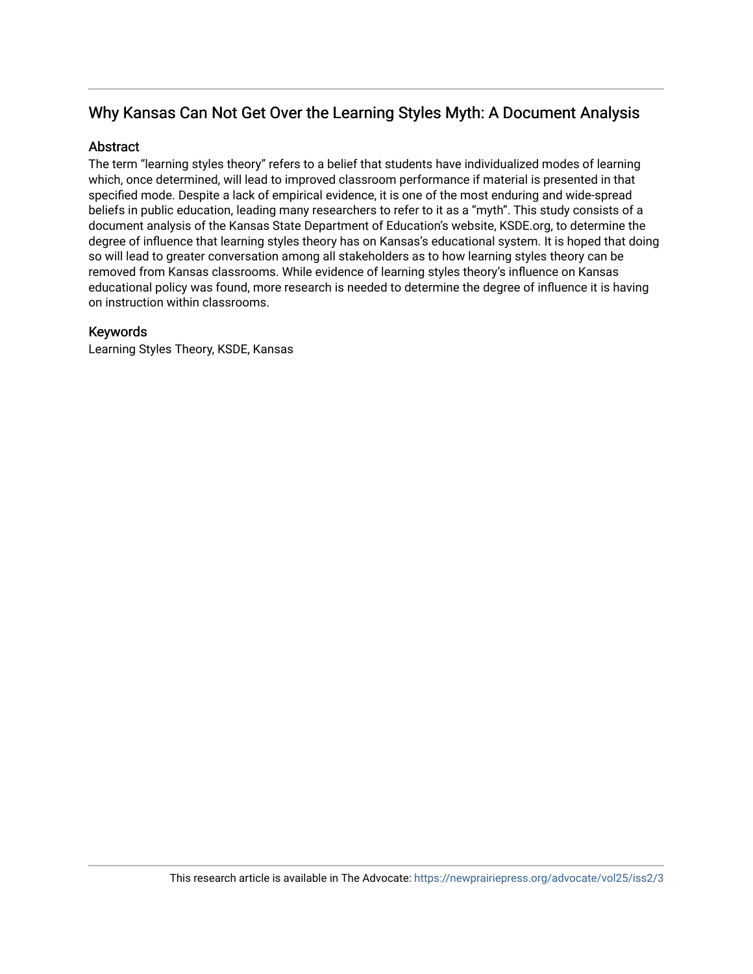# Why Kansas Can Not Get Over the Learning Styles Myth: A Document Analysis

#### **Abstract**

The term "learning styles theory" refers to a belief that students have individualized modes of learning which, once determined, will lead to improved classroom performance if material is presented in that specified mode. Despite a lack of empirical evidence, it is one of the most enduring and wide-spread beliefs in public education, leading many researchers to refer to it as a "myth". This study consists of a document analysis of the Kansas State Department of Education's website, KSDE.org, to determine the degree of influence that learning styles theory has on Kansas's educational system. It is hoped that doing so will lead to greater conversation among all stakeholders as to how learning styles theory can be removed from Kansas classrooms. While evidence of learning styles theory's influence on Kansas educational policy was found, more research is needed to determine the degree of influence it is having on instruction within classrooms.

#### Keywords

Learning Styles Theory, KSDE, Kansas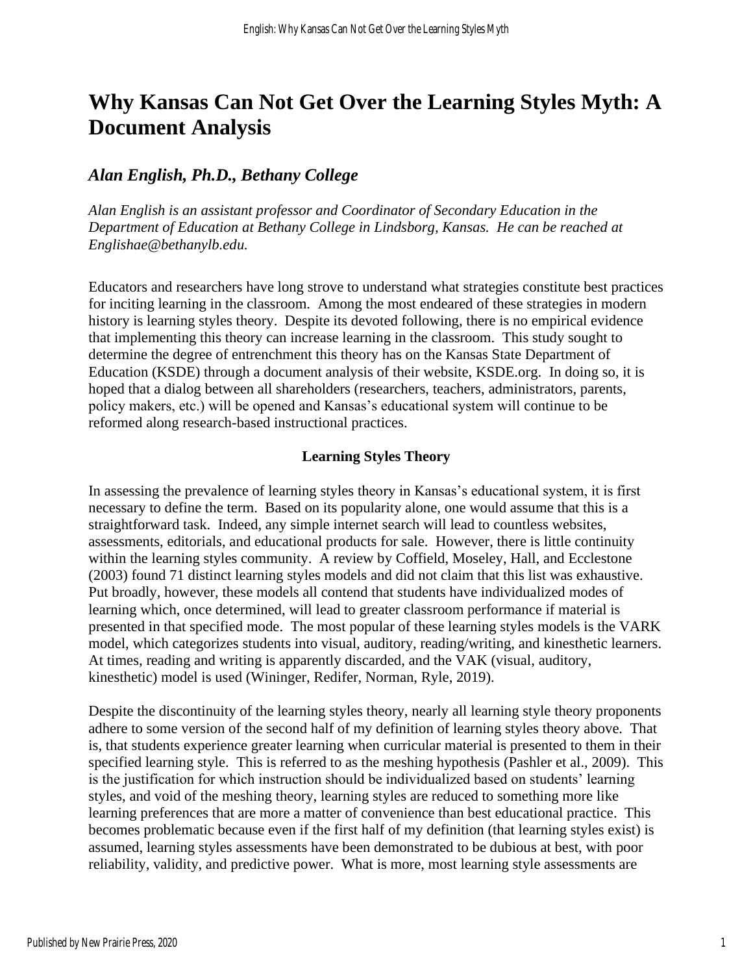# **Why Kansas Can Not Get Over the Learning Styles Myth: A Document Analysis**

# *Alan English, Ph.D., Bethany College*

*Alan English is an assistant professor and Coordinator of Secondary Education in the Department of Education at Bethany College in Lindsborg, Kansas. He can be reached at Englishae@bethanylb.edu.*

Educators and researchers have long strove to understand what strategies constitute best practices for inciting learning in the classroom. Among the most endeared of these strategies in modern history is learning styles theory. Despite its devoted following, there is no empirical evidence that implementing this theory can increase learning in the classroom. This study sought to determine the degree of entrenchment this theory has on the Kansas State Department of Education (KSDE) through a document analysis of their website, KSDE.org. In doing so, it is hoped that a dialog between all shareholders (researchers, teachers, administrators, parents, policy makers, etc.) will be opened and Kansas's educational system will continue to be reformed along research-based instructional practices.

#### **Learning Styles Theory**

In assessing the prevalence of learning styles theory in Kansas's educational system, it is first necessary to define the term. Based on its popularity alone, one would assume that this is a straightforward task. Indeed, any simple internet search will lead to countless websites, assessments, editorials, and educational products for sale. However, there is little continuity within the learning styles community. A review by Coffield, Moseley, Hall, and Ecclestone (2003) found 71 distinct learning styles models and did not claim that this list was exhaustive. Put broadly, however, these models all contend that students have individualized modes of learning which, once determined, will lead to greater classroom performance if material is presented in that specified mode. The most popular of these learning styles models is the VARK model, which categorizes students into visual, auditory, reading/writing, and kinesthetic learners. At times, reading and writing is apparently discarded, and the VAK (visual, auditory, kinesthetic) model is used (Wininger, Redifer, Norman, Ryle, 2019).

Despite the discontinuity of the learning styles theory, nearly all learning style theory proponents adhere to some version of the second half of my definition of learning styles theory above. That is, that students experience greater learning when curricular material is presented to them in their specified learning style. This is referred to as the meshing hypothesis (Pashler et al., 2009). This is the justification for which instruction should be individualized based on students' learning styles, and void of the meshing theory, learning styles are reduced to something more like learning preferences that are more a matter of convenience than best educational practice. This becomes problematic because even if the first half of my definition (that learning styles exist) is assumed, learning styles assessments have been demonstrated to be dubious at best, with poor reliability, validity, and predictive power. What is more, most learning style assessments are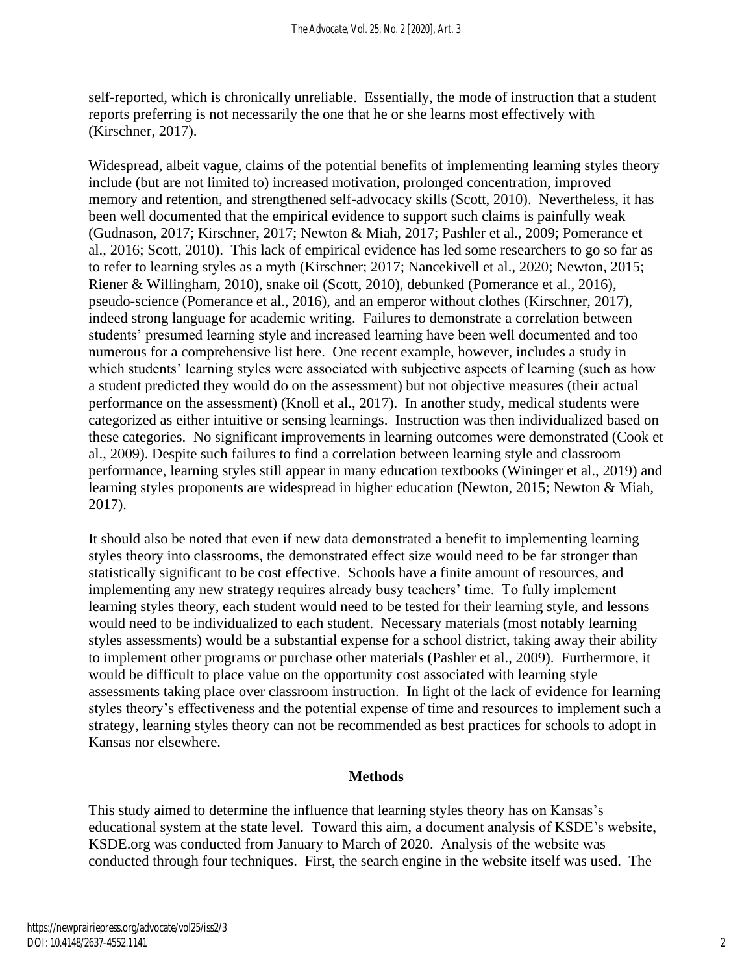self-reported, which is chronically unreliable. Essentially, the mode of instruction that a student reports preferring is not necessarily the one that he or she learns most effectively with (Kirschner, 2017).

Widespread, albeit vague, claims of the potential benefits of implementing learning styles theory include (but are not limited to) increased motivation, prolonged concentration, improved memory and retention, and strengthened self-advocacy skills (Scott, 2010). Nevertheless, it has been well documented that the empirical evidence to support such claims is painfully weak (Gudnason, 2017; Kirschner, 2017; Newton & Miah, 2017; Pashler et al., 2009; Pomerance et al., 2016; Scott, 2010). This lack of empirical evidence has led some researchers to go so far as to refer to learning styles as a myth (Kirschner; 2017; Nancekivell et al., 2020; Newton, 2015; Riener & Willingham, 2010), snake oil (Scott, 2010), debunked (Pomerance et al., 2016), pseudo-science (Pomerance et al., 2016), and an emperor without clothes (Kirschner, 2017), indeed strong language for academic writing. Failures to demonstrate a correlation between students' presumed learning style and increased learning have been well documented and too numerous for a comprehensive list here. One recent example, however, includes a study in which students' learning styles were associated with subjective aspects of learning (such as how a student predicted they would do on the assessment) but not objective measures (their actual performance on the assessment) (Knoll et al., 2017). In another study, medical students were categorized as either intuitive or sensing learnings. Instruction was then individualized based on these categories. No significant improvements in learning outcomes were demonstrated (Cook et al., 2009). Despite such failures to find a correlation between learning style and classroom performance, learning styles still appear in many education textbooks (Wininger et al., 2019) and learning styles proponents are widespread in higher education (Newton, 2015; Newton & Miah, 2017).

It should also be noted that even if new data demonstrated a benefit to implementing learning styles theory into classrooms, the demonstrated effect size would need to be far stronger than statistically significant to be cost effective. Schools have a finite amount of resources, and implementing any new strategy requires already busy teachers' time. To fully implement learning styles theory, each student would need to be tested for their learning style, and lessons would need to be individualized to each student. Necessary materials (most notably learning styles assessments) would be a substantial expense for a school district, taking away their ability to implement other programs or purchase other materials (Pashler et al., 2009). Furthermore, it would be difficult to place value on the opportunity cost associated with learning style assessments taking place over classroom instruction. In light of the lack of evidence for learning styles theory's effectiveness and the potential expense of time and resources to implement such a strategy, learning styles theory can not be recommended as best practices for schools to adopt in Kansas nor elsewhere.

# **Methods**

This study aimed to determine the influence that learning styles theory has on Kansas's educational system at the state level. Toward this aim, a document analysis of KSDE's website, KSDE.org was conducted from January to March of 2020. Analysis of the website was conducted through four techniques. First, the search engine in the website itself was used. The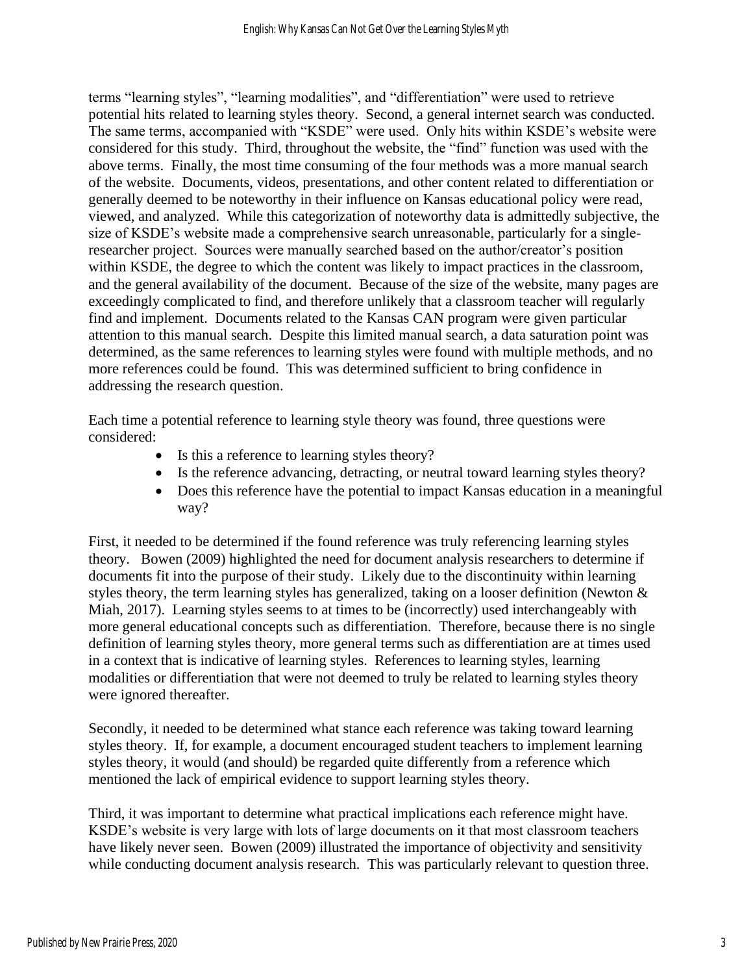terms "learning styles", "learning modalities", and "differentiation" were used to retrieve potential hits related to learning styles theory. Second, a general internet search was conducted. The same terms, accompanied with "KSDE" were used. Only hits within KSDE's website were considered for this study. Third, throughout the website, the "find" function was used with the above terms. Finally, the most time consuming of the four methods was a more manual search of the website. Documents, videos, presentations, and other content related to differentiation or generally deemed to be noteworthy in their influence on Kansas educational policy were read, viewed, and analyzed. While this categorization of noteworthy data is admittedly subjective, the size of KSDE's website made a comprehensive search unreasonable, particularly for a singleresearcher project. Sources were manually searched based on the author/creator's position within KSDE, the degree to which the content was likely to impact practices in the classroom, and the general availability of the document. Because of the size of the website, many pages are exceedingly complicated to find, and therefore unlikely that a classroom teacher will regularly find and implement. Documents related to the Kansas CAN program were given particular attention to this manual search. Despite this limited manual search, a data saturation point was determined, as the same references to learning styles were found with multiple methods, and no more references could be found. This was determined sufficient to bring confidence in addressing the research question.

Each time a potential reference to learning style theory was found, three questions were considered:

- Is this a reference to learning styles theory?
- Is the reference advancing, detracting, or neutral toward learning styles theory?
- Does this reference have the potential to impact Kansas education in a meaningful way?

First, it needed to be determined if the found reference was truly referencing learning styles theory. Bowen (2009) highlighted the need for document analysis researchers to determine if documents fit into the purpose of their study. Likely due to the discontinuity within learning styles theory, the term learning styles has generalized, taking on a looser definition (Newton  $\&$ Miah, 2017). Learning styles seems to at times to be (incorrectly) used interchangeably with more general educational concepts such as differentiation. Therefore, because there is no single definition of learning styles theory, more general terms such as differentiation are at times used in a context that is indicative of learning styles. References to learning styles, learning modalities or differentiation that were not deemed to truly be related to learning styles theory were ignored thereafter.

Secondly, it needed to be determined what stance each reference was taking toward learning styles theory. If, for example, a document encouraged student teachers to implement learning styles theory, it would (and should) be regarded quite differently from a reference which mentioned the lack of empirical evidence to support learning styles theory.

Third, it was important to determine what practical implications each reference might have. KSDE's website is very large with lots of large documents on it that most classroom teachers have likely never seen. Bowen (2009) illustrated the importance of objectivity and sensitivity while conducting document analysis research. This was particularly relevant to question three.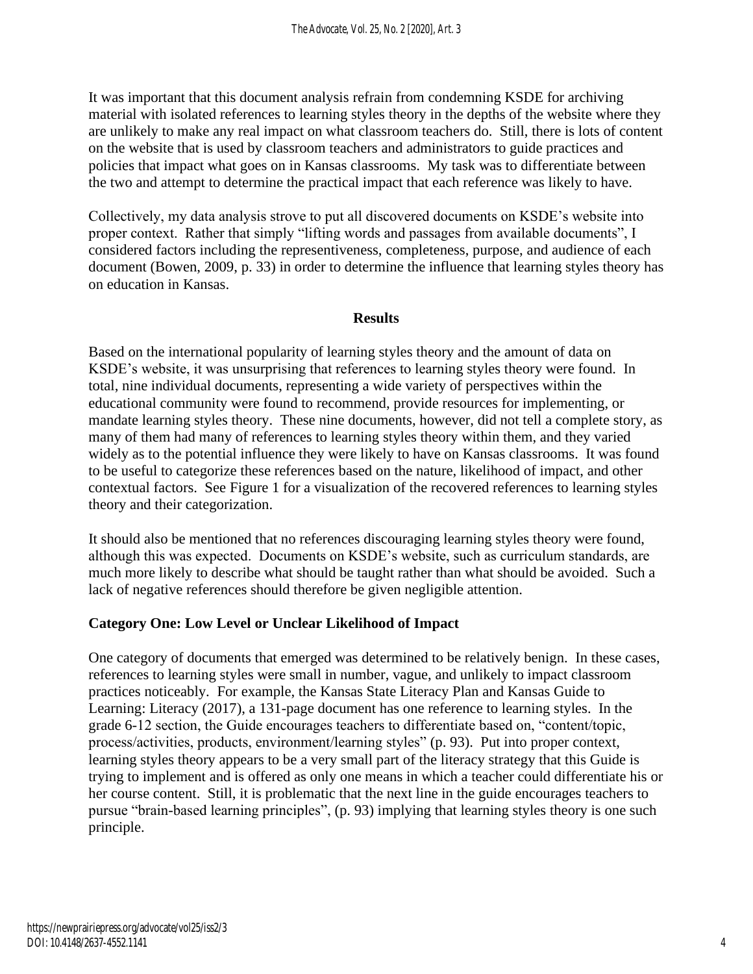It was important that this document analysis refrain from condemning KSDE for archiving material with isolated references to learning styles theory in the depths of the website where they are unlikely to make any real impact on what classroom teachers do. Still, there is lots of content on the website that is used by classroom teachers and administrators to guide practices and policies that impact what goes on in Kansas classrooms. My task was to differentiate between the two and attempt to determine the practical impact that each reference was likely to have.

Collectively, my data analysis strove to put all discovered documents on KSDE's website into proper context. Rather that simply "lifting words and passages from available documents", I considered factors including the representiveness, completeness, purpose, and audience of each document (Bowen, 2009, p. 33) in order to determine the influence that learning styles theory has on education in Kansas.

#### **Results**

Based on the international popularity of learning styles theory and the amount of data on KSDE's website, it was unsurprising that references to learning styles theory were found. In total, nine individual documents, representing a wide variety of perspectives within the educational community were found to recommend, provide resources for implementing, or mandate learning styles theory. These nine documents, however, did not tell a complete story, as many of them had many of references to learning styles theory within them, and they varied widely as to the potential influence they were likely to have on Kansas classrooms. It was found to be useful to categorize these references based on the nature, likelihood of impact, and other contextual factors. See Figure 1 for a visualization of the recovered references to learning styles theory and their categorization.

It should also be mentioned that no references discouraging learning styles theory were found, although this was expected. Documents on KSDE's website, such as curriculum standards, are much more likely to describe what should be taught rather than what should be avoided. Such a lack of negative references should therefore be given negligible attention.

#### **Category One: Low Level or Unclear Likelihood of Impact**

One category of documents that emerged was determined to be relatively benign. In these cases, references to learning styles were small in number, vague, and unlikely to impact classroom practices noticeably. For example, the Kansas State Literacy Plan and Kansas Guide to Learning: Literacy (2017), a 131-page document has one reference to learning styles. In the grade 6-12 section, the Guide encourages teachers to differentiate based on, "content/topic, process/activities, products, environment/learning styles" (p. 93). Put into proper context, learning styles theory appears to be a very small part of the literacy strategy that this Guide is trying to implement and is offered as only one means in which a teacher could differentiate his or her course content. Still, it is problematic that the next line in the guide encourages teachers to pursue "brain-based learning principles", (p. 93) implying that learning styles theory is one such principle.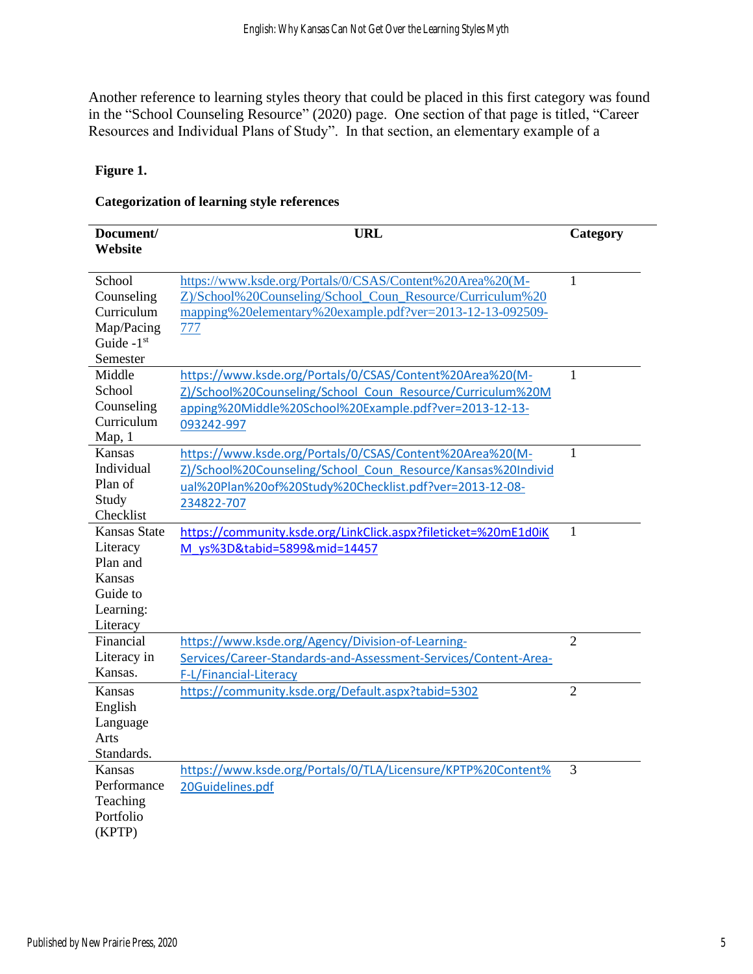Another reference to learning styles theory that could be placed in this first category was found in the "School Counseling Resource" (2020) page. One section of that page is titled, "Career Resources and Individual Plans of Study". In that section, an elementary example of a

#### **Figure 1.**

#### **Categorization of learning style references**

| Document/<br>Website     | <b>URL</b>                                                      | Category       |
|--------------------------|-----------------------------------------------------------------|----------------|
| School                   | https://www.ksde.org/Portals/0/CSAS/Content%20Area%20(M-        | 1              |
| Counseling               | Z)/School%20Counseling/School Coun Resource/Curriculum%20       |                |
| Curriculum               | mapping%20elementary%20example.pdf?ver=2013-12-13-092509-       |                |
| Map/Pacing               | 777                                                             |                |
| Guide $-1$ <sup>st</sup> |                                                                 |                |
| Semester                 |                                                                 |                |
| Middle                   | https://www.ksde.org/Portals/0/CSAS/Content%20Area%20(M-        | 1              |
| School                   | Z)/School%20Counseling/School Coun Resource/Curriculum%20M      |                |
| Counseling               | apping%20Middle%20School%20Example.pdf?ver=2013-12-13-          |                |
| Curriculum               | 093242-997                                                      |                |
| Map, 1                   |                                                                 |                |
| <b>Kansas</b>            | https://www.ksde.org/Portals/0/CSAS/Content%20Area%20(M-        | 1              |
| Individual               | Z)/School%20Counseling/School Coun Resource/Kansas%20Individ    |                |
| Plan of                  | ual%20Plan%20of%20Study%20Checklist.pdf?ver=2013-12-08-         |                |
| Study                    | 234822-707                                                      |                |
| Checklist                |                                                                 |                |
| <b>Kansas State</b>      | https://community.ksde.org/LinkClick.aspx?fileticket=%20mE1d0iK | 1              |
| Literacy                 | M ys%3D&tabid=5899∣=14457                                       |                |
| Plan and                 |                                                                 |                |
| Kansas                   |                                                                 |                |
| Guide to                 |                                                                 |                |
| Learning:                |                                                                 |                |
| Literacy                 |                                                                 |                |
| Financial                | https://www.ksde.org/Agency/Division-of-Learning-               | $\overline{2}$ |
| Literacy in              | Services/Career-Standards-and-Assessment-Services/Content-Area- |                |
| Kansas.                  | F-L/Financial-Literacy                                          |                |
| <b>Kansas</b>            | https://community.ksde.org/Default.aspx?tabid=5302              | $\overline{2}$ |
| English                  |                                                                 |                |
| Language                 |                                                                 |                |
| Arts                     |                                                                 |                |
| Standards.               |                                                                 |                |
| <b>Kansas</b>            | https://www.ksde.org/Portals/0/TLA/Licensure/KPTP%20Content%    | 3              |
| Performance              | 20Guidelines.pdf                                                |                |
| Teaching                 |                                                                 |                |
| Portfolio                |                                                                 |                |
| (KPTP)                   |                                                                 |                |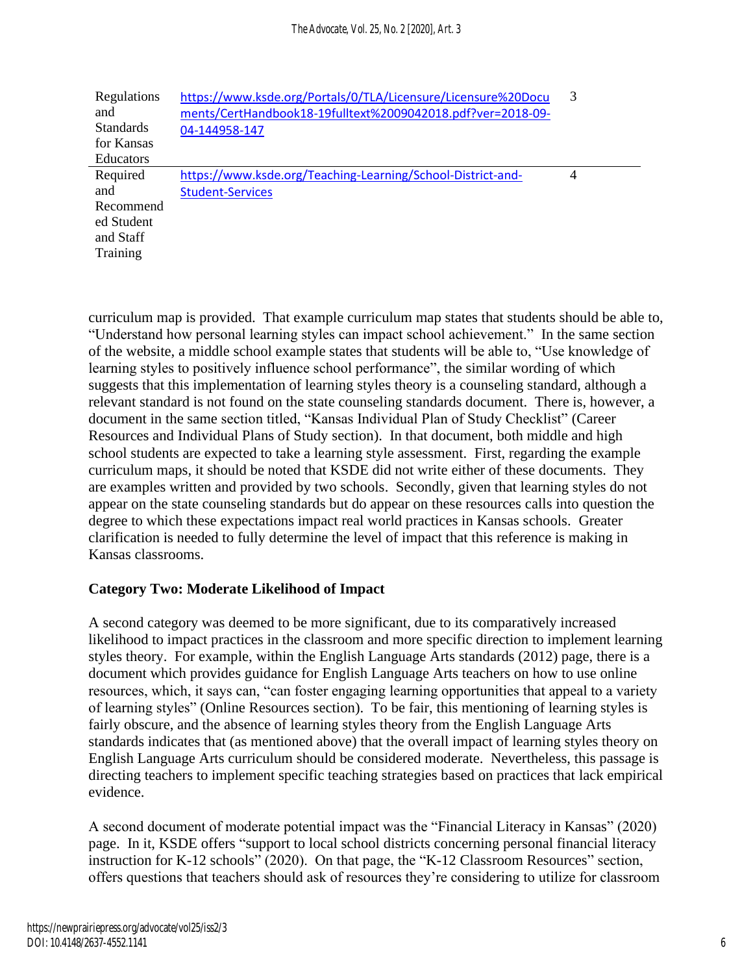| Regulations      | https://www.ksde.org/Portals/0/TLA/Licensure/Licensure%20Docu | 3 |
|------------------|---------------------------------------------------------------|---|
| and              | ments/CertHandbook18-19fulltext%2009042018.pdf?ver=2018-09-   |   |
| <b>Standards</b> | 04-144958-147                                                 |   |
| for Kansas       |                                                               |   |
| <b>Educators</b> |                                                               |   |
| Required         | https://www.ksde.org/Teaching-Learning/School-District-and-   | 4 |
| and              | <b>Student-Services</b>                                       |   |
| Recommend        |                                                               |   |
| ed Student       |                                                               |   |
| and Staff        |                                                               |   |
| Training         |                                                               |   |
|                  |                                                               |   |

curriculum map is provided. That example curriculum map states that students should be able to, "Understand how personal learning styles can impact school achievement." In the same section of the website, a middle school example states that students will be able to, "Use knowledge of learning styles to positively influence school performance", the similar wording of which suggests that this implementation of learning styles theory is a counseling standard, although a relevant standard is not found on the state counseling standards document. There is, however, a document in the same section titled, "Kansas Individual Plan of Study Checklist" (Career Resources and Individual Plans of Study section). In that document, both middle and high school students are expected to take a learning style assessment. First, regarding the example curriculum maps, it should be noted that KSDE did not write either of these documents. They are examples written and provided by two schools. Secondly, given that learning styles do not appear on the state counseling standards but do appear on these resources calls into question the degree to which these expectations impact real world practices in Kansas schools. Greater clarification is needed to fully determine the level of impact that this reference is making in Kansas classrooms.

# **Category Two: Moderate Likelihood of Impact**

A second category was deemed to be more significant, due to its comparatively increased likelihood to impact practices in the classroom and more specific direction to implement learning styles theory. For example, within the English Language Arts standards (2012) page, there is a document which provides guidance for English Language Arts teachers on how to use online resources, which, it says can, "can foster engaging learning opportunities that appeal to a variety of learning styles" (Online Resources section). To be fair, this mentioning of learning styles is fairly obscure, and the absence of learning styles theory from the English Language Arts standards indicates that (as mentioned above) that the overall impact of learning styles theory on English Language Arts curriculum should be considered moderate. Nevertheless, this passage is directing teachers to implement specific teaching strategies based on practices that lack empirical evidence.

A second document of moderate potential impact was the "Financial Literacy in Kansas" (2020) page. In it, KSDE offers "support to local school districts concerning personal financial literacy instruction for K-12 schools" (2020). On that page, the "K-12 Classroom Resources" section, offers questions that teachers should ask of resources they're considering to utilize for classroom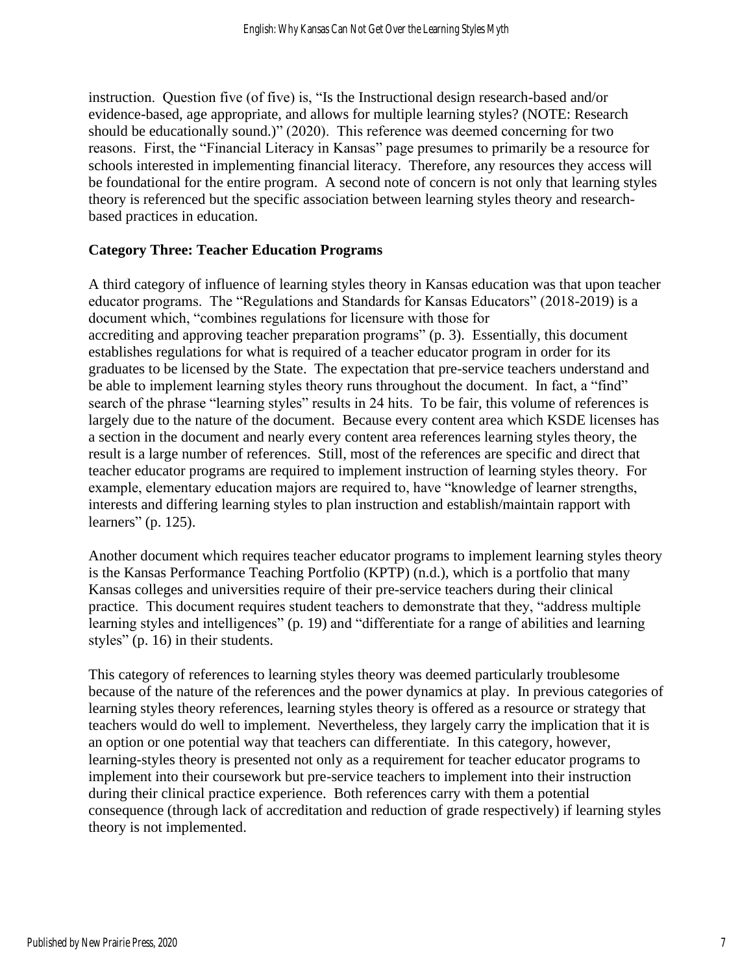instruction. Question five (of five) is, "Is the Instructional design research-based and/or evidence-based, age appropriate, and allows for multiple learning styles? (NOTE: Research should be educationally sound.)" (2020). This reference was deemed concerning for two reasons. First, the "Financial Literacy in Kansas" page presumes to primarily be a resource for schools interested in implementing financial literacy. Therefore, any resources they access will be foundational for the entire program. A second note of concern is not only that learning styles theory is referenced but the specific association between learning styles theory and researchbased practices in education.

# **Category Three: Teacher Education Programs**

A third category of influence of learning styles theory in Kansas education was that upon teacher educator programs. The "Regulations and Standards for Kansas Educators" (2018-2019) is a document which, "combines regulations for licensure with those for accrediting and approving teacher preparation programs" (p. 3). Essentially, this document establishes regulations for what is required of a teacher educator program in order for its graduates to be licensed by the State. The expectation that pre-service teachers understand and be able to implement learning styles theory runs throughout the document. In fact, a "find" search of the phrase "learning styles" results in 24 hits. To be fair, this volume of references is largely due to the nature of the document. Because every content area which KSDE licenses has a section in the document and nearly every content area references learning styles theory, the result is a large number of references. Still, most of the references are specific and direct that teacher educator programs are required to implement instruction of learning styles theory. For example, elementary education majors are required to, have "knowledge of learner strengths, interests and differing learning styles to plan instruction and establish/maintain rapport with learners" (p. 125).

Another document which requires teacher educator programs to implement learning styles theory is the Kansas Performance Teaching Portfolio (KPTP) (n.d.), which is a portfolio that many Kansas colleges and universities require of their pre-service teachers during their clinical practice. This document requires student teachers to demonstrate that they, "address multiple learning styles and intelligences" (p. 19) and "differentiate for a range of abilities and learning styles" (p. 16) in their students.

This category of references to learning styles theory was deemed particularly troublesome because of the nature of the references and the power dynamics at play. In previous categories of learning styles theory references, learning styles theory is offered as a resource or strategy that teachers would do well to implement. Nevertheless, they largely carry the implication that it is an option or one potential way that teachers can differentiate. In this category, however, learning-styles theory is presented not only as a requirement for teacher educator programs to implement into their coursework but pre-service teachers to implement into their instruction during their clinical practice experience. Both references carry with them a potential consequence (through lack of accreditation and reduction of grade respectively) if learning styles theory is not implemented.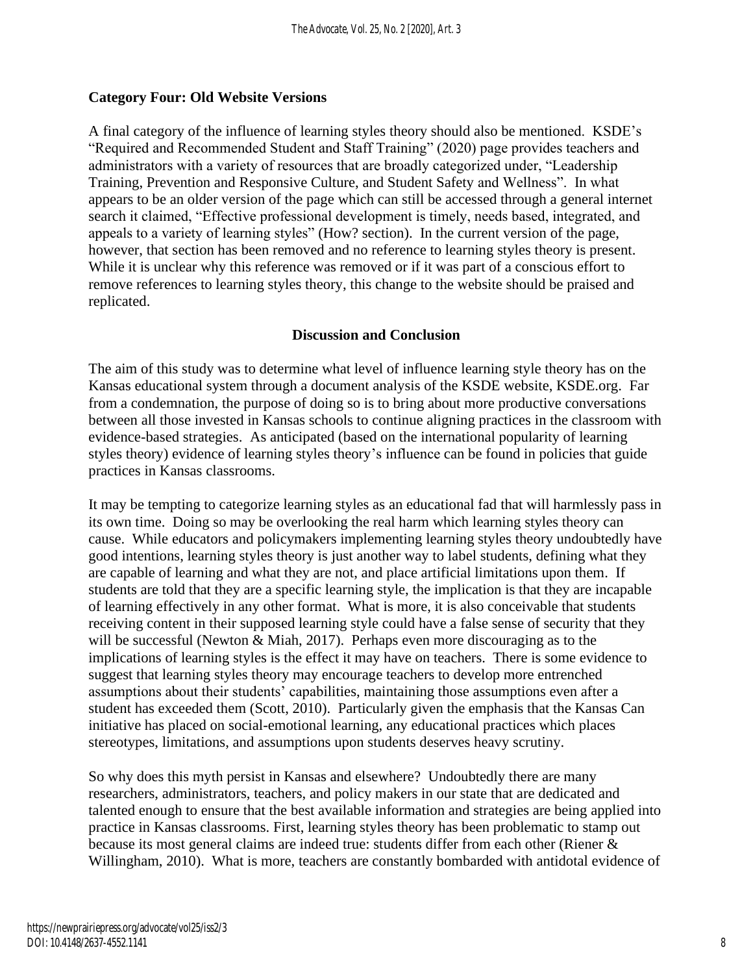### **Category Four: Old Website Versions**

A final category of the influence of learning styles theory should also be mentioned. KSDE's "Required and Recommended Student and Staff Training" (2020) page provides teachers and administrators with a variety of resources that are broadly categorized under, "Leadership Training, Prevention and Responsive Culture, and Student Safety and Wellness". In what appears to be an older version of the page which can still be accessed through a general internet search it claimed, "Effective professional development is timely, needs based, integrated, and appeals to a variety of learning styles" (How? section). In the current version of the page, however, that section has been removed and no reference to learning styles theory is present. While it is unclear why this reference was removed or if it was part of a conscious effort to remove references to learning styles theory, this change to the website should be praised and replicated.

### **Discussion and Conclusion**

The aim of this study was to determine what level of influence learning style theory has on the Kansas educational system through a document analysis of the KSDE website, KSDE.org. Far from a condemnation, the purpose of doing so is to bring about more productive conversations between all those invested in Kansas schools to continue aligning practices in the classroom with evidence-based strategies. As anticipated (based on the international popularity of learning styles theory) evidence of learning styles theory's influence can be found in policies that guide practices in Kansas classrooms.

It may be tempting to categorize learning styles as an educational fad that will harmlessly pass in its own time. Doing so may be overlooking the real harm which learning styles theory can cause. While educators and policymakers implementing learning styles theory undoubtedly have good intentions, learning styles theory is just another way to label students, defining what they are capable of learning and what they are not, and place artificial limitations upon them. If students are told that they are a specific learning style, the implication is that they are incapable of learning effectively in any other format. What is more, it is also conceivable that students receiving content in their supposed learning style could have a false sense of security that they will be successful (Newton & Miah, 2017). Perhaps even more discouraging as to the implications of learning styles is the effect it may have on teachers. There is some evidence to suggest that learning styles theory may encourage teachers to develop more entrenched assumptions about their students' capabilities, maintaining those assumptions even after a student has exceeded them (Scott, 2010). Particularly given the emphasis that the Kansas Can initiative has placed on social-emotional learning, any educational practices which places stereotypes, limitations, and assumptions upon students deserves heavy scrutiny.

So why does this myth persist in Kansas and elsewhere? Undoubtedly there are many researchers, administrators, teachers, and policy makers in our state that are dedicated and talented enough to ensure that the best available information and strategies are being applied into practice in Kansas classrooms. First, learning styles theory has been problematic to stamp out because its most general claims are indeed true: students differ from each other (Riener & Willingham, 2010). What is more, teachers are constantly bombarded with antidotal evidence of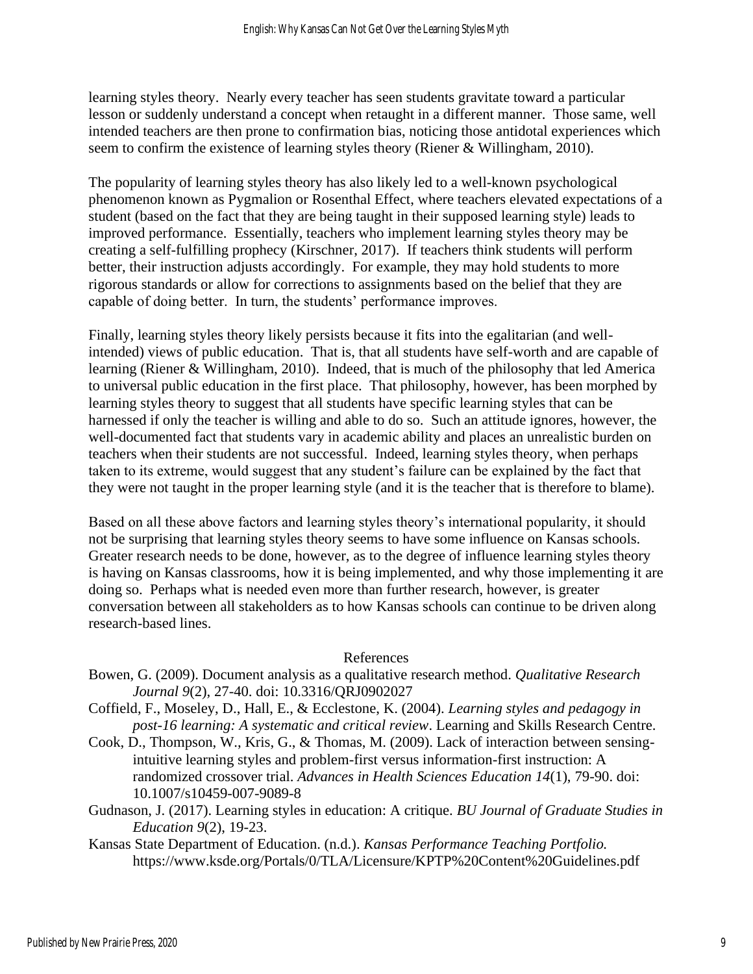learning styles theory. Nearly every teacher has seen students gravitate toward a particular lesson or suddenly understand a concept when retaught in a different manner. Those same, well intended teachers are then prone to confirmation bias, noticing those antidotal experiences which seem to confirm the existence of learning styles theory (Riener & Willingham, 2010).

The popularity of learning styles theory has also likely led to a well-known psychological phenomenon known as Pygmalion or Rosenthal Effect, where teachers elevated expectations of a student (based on the fact that they are being taught in their supposed learning style) leads to improved performance. Essentially, teachers who implement learning styles theory may be creating a self-fulfilling prophecy (Kirschner, 2017). If teachers think students will perform better, their instruction adjusts accordingly. For example, they may hold students to more rigorous standards or allow for corrections to assignments based on the belief that they are capable of doing better. In turn, the students' performance improves.

Finally, learning styles theory likely persists because it fits into the egalitarian (and wellintended) views of public education. That is, that all students have self-worth and are capable of learning (Riener & Willingham, 2010). Indeed, that is much of the philosophy that led America to universal public education in the first place. That philosophy, however, has been morphed by learning styles theory to suggest that all students have specific learning styles that can be harnessed if only the teacher is willing and able to do so. Such an attitude ignores, however, the well-documented fact that students vary in academic ability and places an unrealistic burden on teachers when their students are not successful. Indeed, learning styles theory, when perhaps taken to its extreme, would suggest that any student's failure can be explained by the fact that they were not taught in the proper learning style (and it is the teacher that is therefore to blame).

Based on all these above factors and learning styles theory's international popularity, it should not be surprising that learning styles theory seems to have some influence on Kansas schools. Greater research needs to be done, however, as to the degree of influence learning styles theory is having on Kansas classrooms, how it is being implemented, and why those implementing it are doing so. Perhaps what is needed even more than further research, however, is greater conversation between all stakeholders as to how Kansas schools can continue to be driven along research-based lines.

#### References

- Bowen, G. (2009). Document analysis as a qualitative research method. *Qualitative Research Journal 9*(2), 27-40. doi: 10.3316/QRJ0902027
- Coffield, F., Moseley, D., Hall, E., & Ecclestone, K. (2004). *Learning styles and pedagogy in post-16 learning: A systematic and critical review*. Learning and Skills Research Centre.
- Cook, D., Thompson, W., Kris, G., & Thomas, M. (2009). Lack of interaction between sensingintuitive learning styles and problem-first versus information-first instruction: A randomized crossover trial. *Advances in Health Sciences Education 14*(1), 79-90. doi: 10.1007/s10459-007-9089-8
- Gudnason, J. (2017). Learning styles in education: A critique. *BU Journal of Graduate Studies in Education 9*(2), 19-23.
- Kansas State Department of Education. (n.d.). *Kansas Performance Teaching Portfolio.*  https://www.ksde.org/Portals/0/TLA/Licensure/KPTP%20Content%20Guidelines.pdf